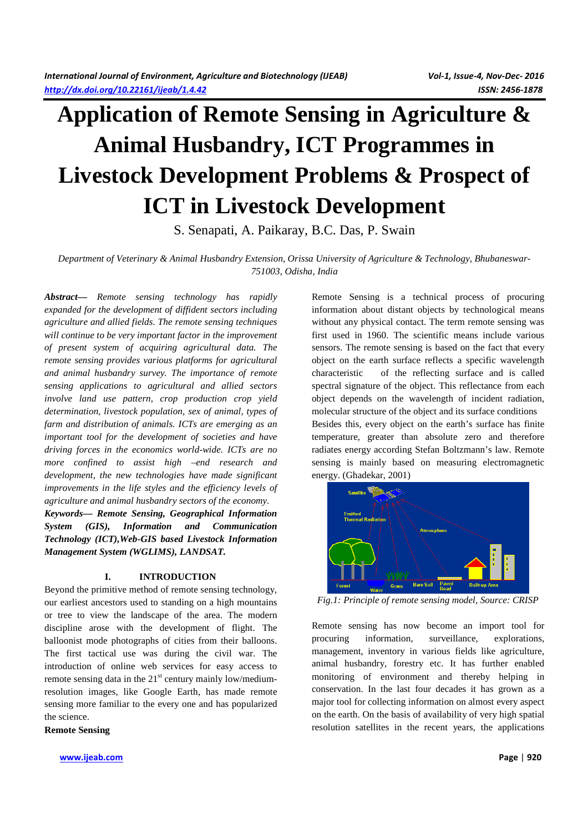# **Application of Remote Sensing in Agriculture & Animal Husbandry, ICT Programmes in Livestock Development Problems & Prospect of ICT in Livestock Development**

S. Senapati, A. Paikaray, B.C. Das, P. Swain

# *Department of Veterinary & Animal Husbandry Extension, Orissa University of Agriculture & Technology, Bhubaneswar-751003, Odisha, India*

*Abstract— Remote sensing technology has rapidly expanded for the development of diffident sectors including agriculture and allied fields. The remote sensing techniques will continue to be very important factor in the improvement of present system of acquiring agricultural data. The remote sensing provides various platforms for agricultural and animal husbandry survey. The importance of remote sensing applications to agricultural and allied sectors involve land use pattern, crop production crop yield determination, livestock population, sex of animal, types of farm and distribution of animals. ICTs are emerging as an important tool for the development of societies and have driving forces in the economics world-wide. ICTs are no more confined to assist high –end research and development, the new technologies have made significant improvements in the life styles and the efficiency levels of agriculture and animal husbandry sectors of the economy.* 

*Keywords— Remote Sensing, Geographical Information System (GIS), Information and Communication Technology (ICT),Web-GIS based Livestock Information Management System (WGLIMS), LANDSAT.* 

## **I. INTRODUCTION**

Beyond the primitive method of remote sensing technology, our earliest ancestors used to standing on a high mountains or tree to view the landscape of the area. The modern discipline arose with the development of flight. The balloonist mode photographs of cities from their balloons. The first tactical use was during the civil war. The introduction of online web services for easy access to remote sensing data in the  $21<sup>st</sup>$  century mainly low/mediumresolution images, like Google Earth, has made remote sensing more familiar to the every one and has popularized the science.

**Remote Sensing** 

**www.ijeab.com Page** | **920**

Remote Sensing is a technical process of procuring information about distant objects by technological means without any physical contact. The term remote sensing was first used in 1960. The scientific means include various sensors. The remote sensing is based on the fact that every object on the earth surface reflects a specific wavelength characteristic of the reflecting surface and is called spectral signature of the object. This reflectance from each object depends on the wavelength of incident radiation, molecular structure of the object and its surface conditions Besides this, every object on the earth's surface has finite temperature, greater than absolute zero and therefore radiates energy according Stefan Boltzmann's law. Remote sensing is mainly based on measuring electromagnetic energy. (Ghadekar, 2001)



*Fig.1: Principle of remote sensing model, Source: CRISP* 

Remote sensing has now become an import tool for procuring information, surveillance, explorations, management, inventory in various fields like agriculture, animal husbandry, forestry etc. It has further enabled monitoring of environment and thereby helping in conservation. In the last four decades it has grown as a major tool for collecting information on almost every aspect on the earth. On the basis of availability of very high spatial resolution satellites in the recent years, the applications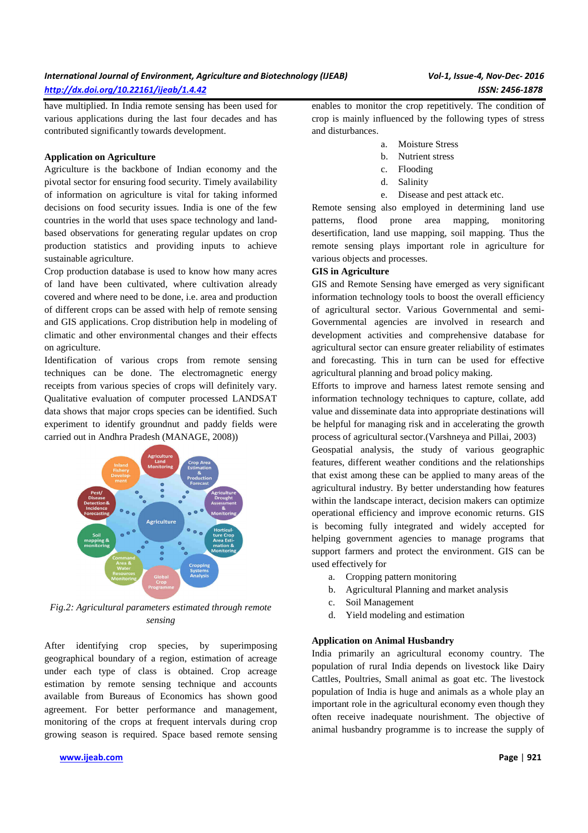have multiplied. In India remote sensing has been used for various applications during the last four decades and has contributed significantly towards development.

## **Application on Agriculture**

Agriculture is the backbone of Indian economy and the pivotal sector for ensuring food security. Timely availability of information on agriculture is vital for taking informed decisions on food security issues. India is one of the few countries in the world that uses space technology and landbased observations for generating regular updates on crop production statistics and providing inputs to achieve sustainable agriculture.

Crop production database is used to know how many acres of land have been cultivated, where cultivation already covered and where need to be done, i.e. area and production of different crops can be assed with help of remote sensing and GIS applications. Crop distribution help in modeling of climatic and other environmental changes and their effects on agriculture.

Identification of various crops from remote sensing techniques can be done. The electromagnetic energy receipts from various species of crops will definitely vary. Qualitative evaluation of computer processed LANDSAT data shows that major crops species can be identified. Such experiment to identify groundnut and paddy fields were carried out in Andhra Pradesh (MANAGE, 2008))



*Fig.2: Agricultural parameters estimated through remote sensing* 

After identifying crop species, by superimposing geographical boundary of a region, estimation of acreage under each type of class is obtained. Crop acreage estimation by remote sensing technique and accounts available from Bureaus of Economics has shown good agreement. For better performance and management, monitoring of the crops at frequent intervals during crop growing season is required. Space based remote sensing enables to monitor the crop repetitively. The condition of crop is mainly influenced by the following types of stress and disturbances.

- a. Moisture Stress
- b. Nutrient stress
- c. Flooding
- d. Salinity
- e. Disease and pest attack etc.

Remote sensing also employed in determining land use patterns, flood prone area mapping, monitoring desertification, land use mapping, soil mapping. Thus the remote sensing plays important role in agriculture for various objects and processes.

#### **GIS in Agriculture**

GIS and Remote Sensing have emerged as very significant information technology tools to boost the overall efficiency of agricultural sector. Various Governmental and semi-Governmental agencies are involved in research and development activities and comprehensive database for agricultural sector can ensure greater reliability of estimates and forecasting. This in turn can be used for effective agricultural planning and broad policy making.

Efforts to improve and harness latest remote sensing and information technology techniques to capture, collate, add value and disseminate data into appropriate destinations will be helpful for managing risk and in accelerating the growth process of agricultural sector.(Varshneya and Pillai, 2003)

Geospatial analysis, the study of various geographic features, different weather conditions and the relationships that exist among these can be applied to many areas of the agricultural industry. By better understanding how features within the landscape interact, decision makers can optimize operational efficiency and improve economic returns. GIS is becoming fully integrated and widely accepted for helping government agencies to manage programs that support farmers and protect the environment. GIS can be used effectively for

- a. Cropping pattern monitoring
- b. Agricultural Planning and market analysis
- c. Soil Management
- d. Yield modeling and estimation

# **Application on Animal Husbandry**

India primarily an agricultural economy country. The population of rural India depends on livestock like Dairy Cattles, Poultries, Small animal as goat etc. The livestock population of India is huge and animals as a whole play an important role in the agricultural economy even though they often receive inadequate nourishment. The objective of animal husbandry programme is to increase the supply of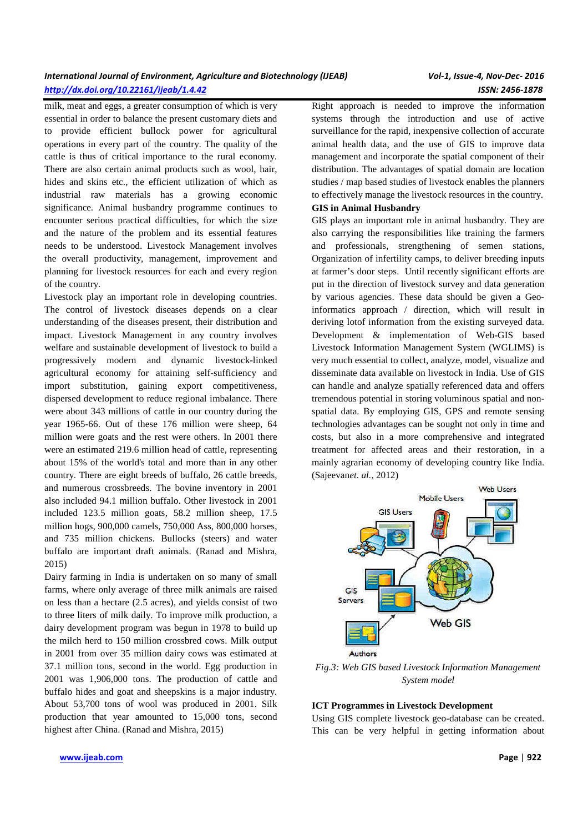# *International Journal of Environment, Agriculture and Biotechnology (IJEAB) Vol-1, Issue-4, Nov-Dec- 2016 http://dx.doi.org/10.22161/ijeab/1.4.42 ISSN: 2456-1878*

milk, meat and eggs, a greater consumption of which is very essential in order to balance the present customary diets and to provide efficient bullock power for agricultural operations in every part of the country. The quality of the cattle is thus of critical importance to the rural economy. There are also certain animal products such as wool, hair, hides and skins etc., the efficient utilization of which as industrial raw materials has a growing economic significance. Animal husbandry programme continues to encounter serious practical difficulties, for which the size and the nature of the problem and its essential features needs to be understood. Livestock Management involves the overall productivity, management, improvement and planning for livestock resources for each and every region of the country.

Livestock play an important role in developing countries. The control of livestock diseases depends on a clear understanding of the diseases present, their distribution and impact. Livestock Management in any country involves welfare and sustainable development of livestock to build a progressively modern and dynamic livestock-linked agricultural economy for attaining self-sufficiency and import substitution, gaining export competitiveness, dispersed development to reduce regional imbalance. There were about 343 millions of cattle in our country during the year 1965-66. Out of these 176 million were sheep, 64 million were goats and the rest were others. In 2001 there were an estimated 219.6 million head of cattle, representing about 15% of the world's total and more than in any other country. There are eight breeds of buffalo, 26 cattle breeds, and numerous crossbreeds. The bovine inventory in 2001 also included 94.1 million buffalo. Other livestock in 2001 included 123.5 million goats, 58.2 million sheep, 17.5 million hogs, 900,000 camels, 750,000 Ass, 800,000 horses, and 735 million chickens. Bullocks (steers) and water buffalo are important draft animals. (Ranad and Mishra, 2015)

Dairy farming in India is undertaken on so many of small farms, where only average of three milk animals are raised on less than a hectare (2.5 acres), and yields consist of two to three liters of milk daily. To improve milk production, a dairy development program was begun in 1978 to build up the milch herd to 150 million crossbred cows. Milk output in 2001 from over 35 million dairy cows was estimated at 37.1 million tons, second in the world. Egg production in 2001 was 1,906,000 tons. The production of cattle and buffalo hides and goat and sheepskins is a major industry. About 53,700 tons of wool was produced in 2001. Silk production that year amounted to 15,000 tons, second highest after China. (Ranad and Mishra, 2015)

Right approach is needed to improve the information systems through the introduction and use of active surveillance for the rapid, inexpensive collection of accurate animal health data, and the use of GIS to improve data management and incorporate the spatial component of their distribution. The advantages of spatial domain are location studies / map based studies of livestock enables the planners to effectively manage the livestock resources in the country.

## **GIS in Animal Husbandry**

GIS plays an important role in animal husbandry. They are also carrying the responsibilities like training the farmers and professionals, strengthening of semen stations, Organization of infertility camps, to deliver breeding inputs at farmer's door steps. Until recently significant efforts are put in the direction of livestock survey and data generation by various agencies. These data should be given a Geoinformatics approach / direction, which will result in deriving lotof information from the existing surveyed data. Development & implementation of Web-GIS based Livestock Information Management System (WGLIMS) is very much essential to collect, analyze, model, visualize and disseminate data available on livestock in India. Use of GIS can handle and analyze spatially referenced data and offers tremendous potential in storing voluminous spatial and nonspatial data. By employing GIS, GPS and remote sensing technologies advantages can be sought not only in time and costs, but also in a more comprehensive and integrated treatment for affected areas and their restoration, in a mainly agrarian economy of developing country like India. (Sajeevan*et. al.,* 2012)



*Fig.3: Web GIS based Livestock Information Management System model* 

## **ICT Programmes in Livestock Development**

Using GIS complete livestock geo-database can be created. This can be very helpful in getting information about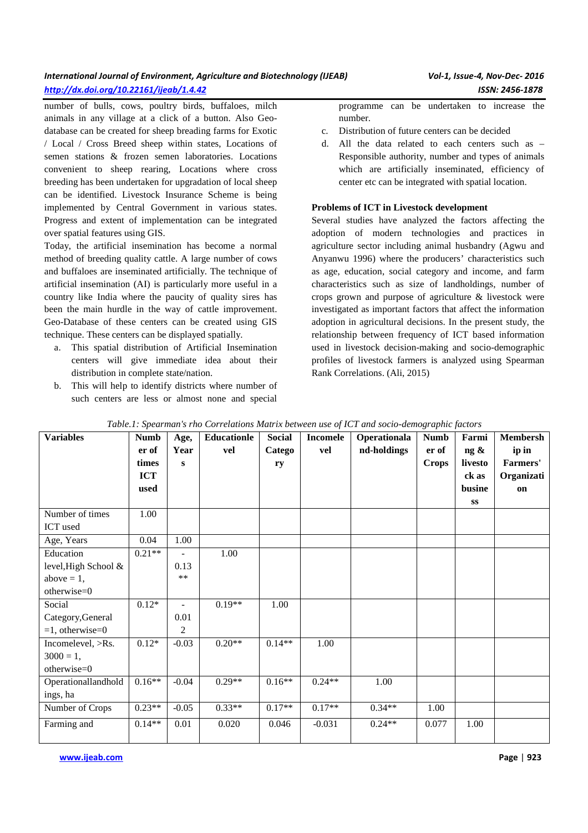# *International Journal of Environment, Agriculture and Biotechnology (IJEAB) Vol-1, Issue-4, Nov-Dec- 2016 http://dx.doi.org/10.22161/ijeab/1.4.42 ISSN: 2456-1878*

number of bulls, cows, poultry birds, buffaloes, milch animals in any village at a click of a button. Also Geo-

database can be created for sheep breading farms for Exotic / Local / Cross Breed sheep within states, Locations of semen stations & frozen semen laboratories. Locations convenient to sheep rearing, Locations where cross breeding has been undertaken for upgradation of local sheep can be identified. Livestock Insurance Scheme is being implemented by Central Government in various states. Progress and extent of implementation can be integrated over spatial features using GIS.

Today, the artificial insemination has become a normal method of breeding quality cattle. A large number of cows and buffaloes are inseminated artificially. The technique of artificial insemination (AI) is particularly more useful in a country like India where the paucity of quality sires has been the main hurdle in the way of cattle improvement. Geo-Database of these centers can be created using GIS technique. These centers can be displayed spatially.

- a. This spatial distribution of Artificial Insemination centers will give immediate idea about their distribution in complete state/nation.
- b. This will help to identify districts where number of such centers are less or almost none and special

programme can be undertaken to increase the number.

- c. Distribution of future centers can be decided
- d. All the data related to each centers such as Responsible authority, number and types of animals which are artificially inseminated, efficiency of center etc can be integrated with spatial location.

# **Problems of ICT in Livestock development**

Several studies have analyzed the factors affecting the adoption of modern technologies and practices in agriculture sector including animal husbandry (Agwu and Anyanwu 1996) where the producers' characteristics such as age, education, social category and income, and farm characteristics such as size of landholdings, number of crops grown and purpose of agriculture & livestock were investigated as important factors that affect the information adoption in agricultural decisions. In the present study, the relationship between frequency of ICT based information used in livestock decision-making and socio-demographic profiles of livestock farmers is analyzed using Spearman Rank Correlations. (Ali, 2015)

| <b>Variables</b>     | <b>Numb</b> | Age,           | <b>Educationle</b> | <b>Social</b> | <b>Incomele</b> | Operationala | <b>Numb</b>  | Farmi   | <b>Membersh</b> |
|----------------------|-------------|----------------|--------------------|---------------|-----------------|--------------|--------------|---------|-----------------|
|                      | er of       | Year           | vel                | Catego        | vel             | nd-holdings  | er of        | ng &    | ip in           |
|                      | times       | $\mathbf{s}$   |                    | ry            |                 |              | <b>Crops</b> | livesto | Farmers'        |
|                      | <b>ICT</b>  |                |                    |               |                 |              |              | ck as   | Organizati      |
|                      | used        |                |                    |               |                 |              |              | busine  | on              |
|                      |             |                |                    |               |                 |              |              | SS      |                 |
| Number of times      | 1.00        |                |                    |               |                 |              |              |         |                 |
| ICT used             |             |                |                    |               |                 |              |              |         |                 |
| Age, Years           | 0.04        | 1.00           |                    |               |                 |              |              |         |                 |
| Education            | $0.21**$    | $\overline{a}$ | 1.00               |               |                 |              |              |         |                 |
| level, High School & |             | 0.13           |                    |               |                 |              |              |         |                 |
| above $= 1$ ,        |             | $\ast\ast$     |                    |               |                 |              |              |         |                 |
| otherwise=0          |             |                |                    |               |                 |              |              |         |                 |
| Social               | $0.12*$     | $\blacksquare$ | $0.19**$           | 1.00          |                 |              |              |         |                 |
| Category, General    |             | 0.01           |                    |               |                 |              |              |         |                 |
| $=1$ , otherwise=0   |             | 2              |                    |               |                 |              |              |         |                 |
| Incomelevel, >Rs.    | $0.12*$     | $-0.03$        | $0.20**$           | $0.14**$      | 1.00            |              |              |         |                 |
| $3000 = 1$ ,         |             |                |                    |               |                 |              |              |         |                 |
| otherwise=0          |             |                |                    |               |                 |              |              |         |                 |
| Operationallandhold  | $0.16**$    | $-0.04$        | $0.29**$           | $0.16**$      | $0.24**$        | 1.00         |              |         |                 |
| ings, ha             |             |                |                    |               |                 |              |              |         |                 |
| Number of Crops      | $0.23**$    | $-0.05$        | $0.33**$           | $0.17**$      | $0.17**$        | $0.34**$     | 1.00         |         |                 |
| Farming and          | $0.14**$    | 0.01           | 0.020              | 0.046         | $-0.031$        | $0.24**$     | 0.077        | 1.00    |                 |

# *Table.1: Spearman's rho Correlations Matrix between use of ICT and socio-demographic factors*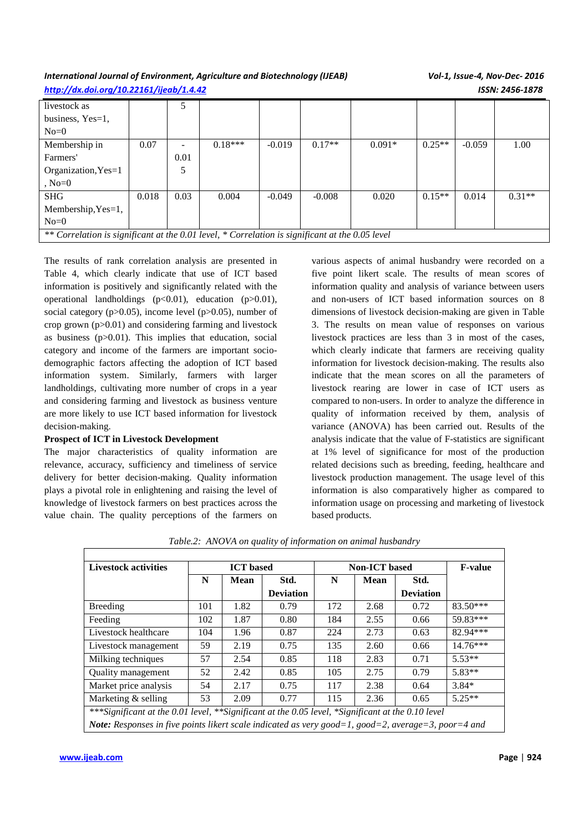# *International Journal of Environment, Agriculture and Biotechnology (IJEAB) Vol-1, Issue-4, Nov-Dec- 2016 http://dx.doi.org/10.22161/ijeab/1.4.42 ISSN: 2456-1878*

| livestock as                                                                                    |       | 5    |           |          |          |          |          |          |          |
|-------------------------------------------------------------------------------------------------|-------|------|-----------|----------|----------|----------|----------|----------|----------|
| business, Yes=1,                                                                                |       |      |           |          |          |          |          |          |          |
| $No=0$                                                                                          |       |      |           |          |          |          |          |          |          |
| Membership in                                                                                   | 0.07  | -    | $0.18***$ | $-0.019$ | $0.17**$ | $0.091*$ | $0.25**$ | $-0.059$ | 1.00     |
| Farmers'                                                                                        |       | 0.01 |           |          |          |          |          |          |          |
| Organization, Yes=1                                                                             |       | 5    |           |          |          |          |          |          |          |
| $No=0$                                                                                          |       |      |           |          |          |          |          |          |          |
| <b>SHG</b>                                                                                      | 0.018 | 0.03 | 0.004     | $-0.049$ | $-0.008$ | 0.020    | $0.15**$ | 0.014    | $0.31**$ |
| Membership, $Yes=1$ ,                                                                           |       |      |           |          |          |          |          |          |          |
| $No=0$                                                                                          |       |      |           |          |          |          |          |          |          |
| ** Correlation is significant at the 0.01 level, * Correlation is significant at the 0.05 level |       |      |           |          |          |          |          |          |          |

The results of rank correlation analysis are presented in Table 4, which clearly indicate that use of ICT based information is positively and significantly related with the operational landholdings  $(p<0.01)$ , education  $(p>0.01)$ , social category ( $p > 0.05$ ), income level ( $p > 0.05$ ), number of crop grown  $(p>0.01)$  and considering farming and livestock as business (p>0.01). This implies that education, social category and income of the farmers are important sociodemographic factors affecting the adoption of ICT based information system. Similarly, farmers with larger landholdings, cultivating more number of crops in a year and considering farming and livestock as business venture are more likely to use ICT based information for livestock decision-making.

## **Prospect of ICT in Livestock Development**

The major characteristics of quality information are relevance, accuracy, sufficiency and timeliness of service delivery for better decision-making. Quality information plays a pivotal role in enlightening and raising the level of knowledge of livestock farmers on best practices across the value chain. The quality perceptions of the farmers on

various aspects of animal husbandry were recorded on a five point likert scale. The results of mean scores of information quality and analysis of variance between users and non-users of ICT based information sources on 8 dimensions of livestock decision-making are given in Table 3. The results on mean value of responses on various livestock practices are less than 3 in most of the cases, which clearly indicate that farmers are receiving quality information for livestock decision-making. The results also indicate that the mean scores on all the parameters of livestock rearing are lower in case of ICT users as compared to non-users. In order to analyze the difference in quality of information received by them, analysis of variance (ANOVA) has been carried out. Results of the analysis indicate that the value of F-statistics are significant at 1% level of significance for most of the production related decisions such as breeding, feeding, healthcare and livestock production management. The usage level of this information is also comparatively higher as compared to information usage on processing and marketing of livestock based products.

| <b>Livestock activities</b>                                                                         | <b>ICT</b> based |      |                  | <b>Non-ICT</b> based | <b>F-value</b> |                  |            |  |
|-----------------------------------------------------------------------------------------------------|------------------|------|------------------|----------------------|----------------|------------------|------------|--|
|                                                                                                     | N                | Mean | Std.             | N<br>Mean            |                | Std.             |            |  |
|                                                                                                     |                  |      | <b>Deviation</b> |                      |                | <b>Deviation</b> |            |  |
| Breeding                                                                                            | 101              | 1.82 | 0.79             | 172                  | 2.68           | 0.72             | $83.50***$ |  |
| Feeding                                                                                             | 102              | 1.87 | 0.80             | 184                  | 2.55           | 0.66             | 59.83***   |  |
| Livestock healthcare                                                                                | 104              | 1.96 | 0.87             | 224                  | 2.73           | 0.63             | 82.94***   |  |
| Livestock management                                                                                | 59               | 2.19 | 0.75             | 135                  | 2.60           | 0.66             | $14.76***$ |  |
| Milking techniques                                                                                  | 57               | 2.54 | 0.85             | 118                  | 2.83           | 0.71             | $5.53**$   |  |
| Quality management                                                                                  | 52               | 2.42 | 0.85             | 105                  | 2.75           | 0.79             | $5.83**$   |  |
| Market price analysis                                                                               | 54               | 2.17 | 0.75             | 117                  | 2.38           | 0.64             | $3.84*$    |  |
| Marketing & selling                                                                                 | 53               | 2.09 | 0.77             | 115                  | 2.36           | 0.65             | $5.25**$   |  |
| ***Significant at the 0.01 level, **Significant at the 0.05 level, *Significant at the 0.10 level   |                  |      |                  |                      |                |                  |            |  |
| Note: Responses in five points likert scale indicated as very good=1, good=2, average=3, poor=4 and |                  |      |                  |                      |                |                  |            |  |

*Table.2: ANOVA on quality of information on animal husbandry*